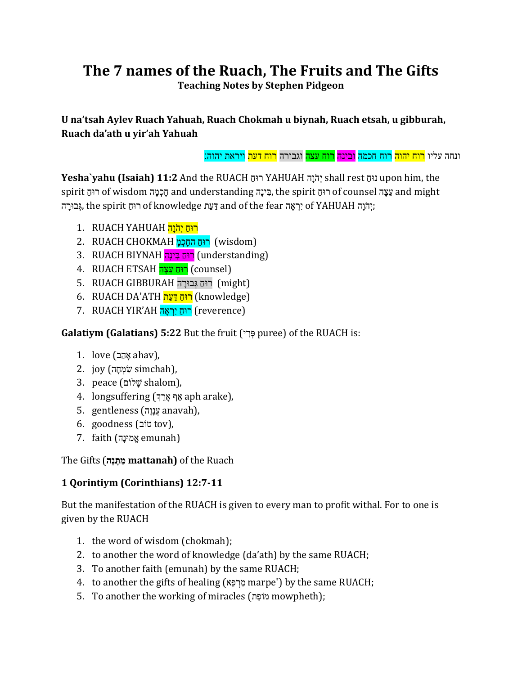## **The 7 names of the Ruach, The Fruits and The Gifts Teaching Notes by Stephen Pidgeon**

**U na'tsah Aylev Ruach Yahuah, Ruach Chokmah u biynah, Ruach etsah, u gibburah, Ruach da'ath u yir'ah Yahuah**

ונחה עליו <mark>רוח יהוה</mark> רוח חכמה <mark>ובינה רוח עצה</mark> וגבורה <mark>רוח דעת</mark> ויראת יהוה:

**Yesha`yahu (Isaiah) 11:2** And the RUACH ורּח ַ YAHUAH יְהֹיָה shall rest ורּח ַ upon him, the spirit הָינָה and understanding בִינָה, the spirit הוּחַ of wisdom הָימָה and understanding בִינָה הָבוּרָה; the spirit הִיהָ of knowledge יְרָאָה and of the fear הִצְבוּרָה;;

- ן רוּחַ יִהֹּוַה THINAH רוּחַ יִהֹּוַה
- 2. RUACH CHOKMAH רוּחַ החַכְמַּ [wisdom]
- 3. RUACH BIYNAH רוּחַ בִּינָה (understanding)
- 4. RUACH ETSAH רוּחַ עֲצָה (counsel)
- 5. RUACH GIBBURAH רוּחַ גָּבוּרה (might)
- 6. RUACH DA'ATH רוּחַ דַּעַת (knowledge)
- 7. RUACH YIR'AH רוּחֵ יִרְאֲה (reverence)

## Galatiym (Galatians) 5:22 But the fruit (פְּרִי puree) of the RUACH is:

- 1. love (אָהָב ahav),
- ן, simchah),
- , shalom), שלוֹם  $\ddot{y}$  shalom),
- 4. longsuffering (אֲרָךְ aph arake),
- ,(anavah הְַָהְי) gentleness 5.
- ,(tov בֹור) goodness 6.
- (הemunah אמונה emunah

The Gifts (**מַת ַנ ָה mattanah)** of the Ruach

## **1 Qorintiym (Corinthians) 12:7-11**

But the manifestation of the RUACH is given to every man to profit withal. For to one is given by the RUACH

- 1. the word of wisdom (chokmah);
- 2. to another the word of knowledge (da'ath) by the same RUACH;
- 3. To another faith (emunah) by the same RUACH;
- 4. to another the gifts of healing (מרפא marpe') by the same RUACH;
- 5. To another the working of miracles (דָופֹכ mowpheth);